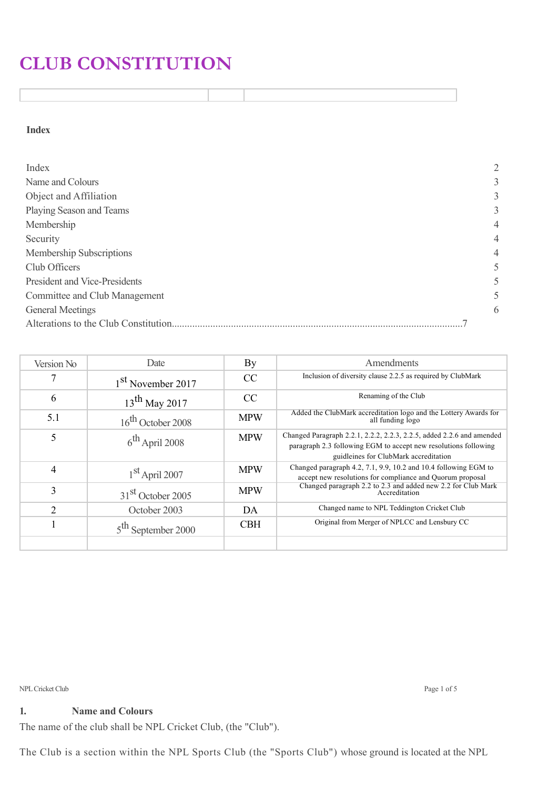# **CLUB CONSTITUTION**

**Index**

| Index                         | 2              |
|-------------------------------|----------------|
| Name and Colours              | 3              |
| Object and Affiliation        | 3              |
| Playing Season and Teams      | 3              |
| Membership                    | $\overline{4}$ |
| Security                      | $\overline{4}$ |
| Membership Subscriptions      | $\overline{4}$ |
| Club Officers                 | 5              |
| President and Vice-Presidents | 5              |
| Committee and Club Management | 5              |
| <b>General Meetings</b>       | 6              |
|                               |                |

| Version No     | Date                          | By            | Amendments                                                                                                                                                                        |
|----------------|-------------------------------|---------------|-----------------------------------------------------------------------------------------------------------------------------------------------------------------------------------|
|                | 1 <sup>st</sup> November 2017 | <sub>CC</sub> | Inclusion of diversity clause 2.2.5 as required by ClubMark                                                                                                                       |
| 6              | $13th$ May 2017               | <sub>CC</sub> | Renaming of the Club                                                                                                                                                              |
| 5.1            | $16^{\text{th}}$ October 2008 | <b>MPW</b>    | Added the ClubMark accreditation logo and the Lottery Awards for<br>all funding logo                                                                                              |
|                | $6^{\text{th}}$ April 2008    | <b>MPW</b>    | Changed Paragraph 2.2.1, 2.2.2, 2.2.3, 2.2.5, added 2.2.6 and amended<br>paragraph 2.3 following EGM to accept new resolutions following<br>guidleines for ClubMark accreditation |
| $\overline{4}$ | $1st$ April 2007              | <b>MPW</b>    | Changed paragraph 4.2, 7.1, 9.9, 10.2 and 10.4 following EGM to<br>accept new resolutions for compliance and Quorum proposal                                                      |
| 3              | 31 <sup>st</sup> October 2005 | <b>MPW</b>    | Changed paragraph 2.2 to 2.3 and added new 2.2 for Club Mark<br>Accreditation                                                                                                     |
| ↑              | October 2003                  | DA            | Changed name to NPL Teddington Cricket Club                                                                                                                                       |
|                | $5th$ September 2000          | <b>CBH</b>    | Original from Merger of NPLCC and Lensbury CC                                                                                                                                     |
|                |                               |               |                                                                                                                                                                                   |

NPL Cricket Club Page 1 of 5

**1. Name and Colours**

The name of the club shall be NPL Cricket Club, (the "Club").

The Club is a section within the NPL Sports Club (the "Sports Club") whose ground is located at the NPL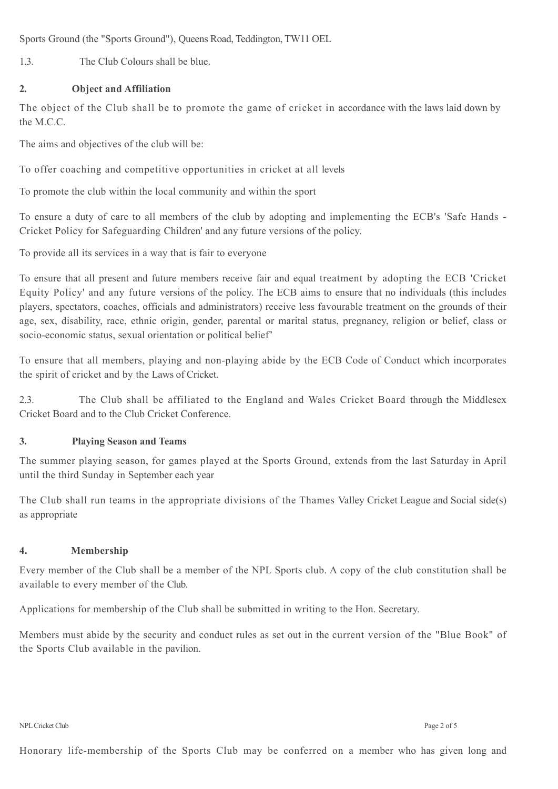Sports Ground (the "Sports Ground"), Queens Road, Teddington, TW11 OEL

1.3. The Club Colours shall be blue.

## **2. Object and Affiliation**

The object of the Club shall be to promote the game of cricket in accordance with the laws laid down by the M.C.C.

The aims and objectives of the club will be:

To offer coaching and competitive opportunities in cricket at all levels

To promote the club within the local community and within the sport

To ensure a duty of care to all members of the club by adopting and implementing the ECB's 'Safe Hands - Cricket Policy for Safeguarding Children' and any future versions of the policy.

To provide all its services in a way that is fair to everyone

To ensure that all present and future members receive fair and equal treatment by adopting the ECB 'Cricket Equity Policy' and any future versions of the policy. The ECB aims to ensure that no individuals (this includes players, spectators, coaches, officials and administrators) receive less favourable treatment on the grounds of their age, sex, disability, race, ethnic origin, gender, parental or marital status, pregnancy, religion or belief, class or socio-economic status, sexual orientation or political belief'

To ensure that all members, playing and non-playing abide by the ECB Code of Conduct which incorporates the spirit of cricket and by the Laws of Cricket.

2.3. The Club shall be affiliated to the England and Wales Cricket Board through the Middlesex Cricket Board and to the Club Cricket Conference.

## **3. Playing Season and Teams**

The summer playing season, for games played at the Sports Ground, extends from the last Saturday in April until the third Sunday in September each year

The Club shall run teams in the appropriate divisions of the Thames Valley Cricket League and Social side(s) as appropriate

## **4. Membership**

Every member of the Club shall be a member of the NPL Sports club. A copy of the club constitution shall be available to every member of the Club.

Applications for membership of the Club shall be submitted in writing to the Hon. Secretary.

Members must abide by the security and conduct rules as set out in the current version of the "Blue Book" of the Sports Club available in the pavilion.

NPL Cricket Club Page 2 of 5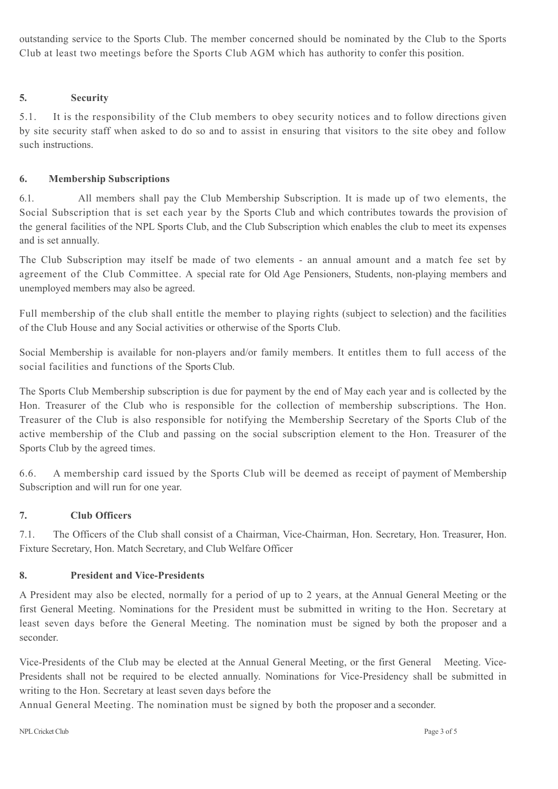outstanding service to the Sports Club. The member concerned should be nominated by the Club to the Sports Club at least two meetings before the Sports Club AGM which has authority to confer this position.

## **5. Security**

5.1. It is the responsibility of the Club members to obey security notices and to follow directions given by site security staff when asked to do so and to assist in ensuring that visitors to the site obey and follow such instructions.

## **6. Membership Subscriptions**

6.1. All members shall pay the Club Membership Subscription. It is made up of two elements, the Social Subscription that is set each year by the Sports Club and which contributes towards the provision of the general facilities of the NPL Sports Club, and the Club Subscription which enables the club to meet its expenses and is set annually.

The Club Subscription may itself be made of two elements - an annual amount and a match fee set by agreement of the Club Committee. A special rate for Old Age Pensioners, Students, non-playing members and unemployed members may also be agreed.

Full membership of the club shall entitle the member to playing rights (subject to selection) and the facilities of the Club House and any Social activities or otherwise of the Sports Club.

Social Membership is available for non-players and/or family members. It entitles them to full access of the social facilities and functions of the Sports Club.

The Sports Club Membership subscription is due for payment by the end of May each year and is collected by the Hon. Treasurer of the Club who is responsible for the collection of membership subscriptions. The Hon. Treasurer of the Club is also responsible for notifying the Membership Secretary of the Sports Club of the active membership of the Club and passing on the social subscription element to the Hon. Treasurer of the Sports Club by the agreed times.

6.6. A membership card issued by the Sports Club will be deemed as receipt of payment of Membership Subscription and will run for one year.

## **7. Club Officers**

7.1. The Officers of the Club shall consist of a Chairman, Vice-Chairman, Hon. Secretary, Hon. Treasurer, Hon. Fixture Secretary, Hon. Match Secretary, and Club Welfare Officer

## **8. President and Vice-Presidents**

A President may also be elected, normally for a period of up to 2 years, at the Annual General Meeting or the first General Meeting. Nominations for the President must be submitted in writing to the Hon. Secretary at least seven days before the General Meeting. The nomination must be signed by both the proposer and a seconder.

Vice-Presidents of the Club may be elected at the Annual General Meeting, or the first General Meeting. Vice-Presidents shall not be required to be elected annually. Nominations for Vice-Presidency shall be submitted in writing to the Hon. Secretary at least seven days before the

Annual General Meeting. The nomination must be signed by both the proposer and a seconder.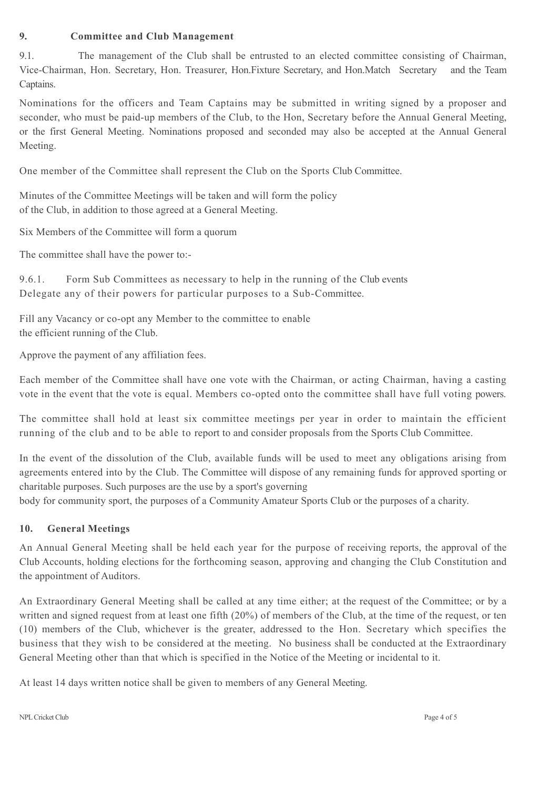#### **9. Committee and Club Management**

9.1. The management of the Club shall be entrusted to an elected committee consisting of Chairman, Vice-Chairman, Hon. Secretary, Hon. Treasurer, Hon.Fixture Secretary, and Hon.Match Secretary and the Team Captains.

Nominations for the officers and Team Captains may be submitted in writing signed by a proposer and seconder, who must be paid-up members of the Club, to the Hon, Secretary before the Annual General Meeting, or the first General Meeting. Nominations proposed and seconded may also be accepted at the Annual General Meeting.

One member of the Committee shall represent the Club on the Sports Club Committee.

Minutes of the Committee Meetings will be taken and will form the policy of the Club, in addition to those agreed at a General Meeting.

Six Members of the Committee will form a quorum

The committee shall have the power to:-

9.6.1. Form Sub Committees as necessary to help in the running of the Club events Delegate any of their powers for particular purposes to a Sub-Committee.

Fill any Vacancy or co-opt any Member to the committee to enable the efficient running of the Club.

Approve the payment of any affiliation fees.

Each member of the Committee shall have one vote with the Chairman, or acting Chairman, having a casting vote in the event that the vote is equal. Members co-opted onto the committee shall have full voting powers.

The committee shall hold at least six committee meetings per year in order to maintain the efficient running of the club and to be able to report to and consider proposals from the Sports Club Committee.

In the event of the dissolution of the Club, available funds will be used to meet any obligations arising from agreements entered into by the Club. The Committee will dispose of any remaining funds for approved sporting or charitable purposes. Such purposes are the use by a sport's governing

body for community sport, the purposes of a Community Amateur Sports Club or the purposes of a charity.

## **10. General Meetings**

An Annual General Meeting shall be held each year for the purpose of receiving reports, the approval of the Club Accounts, holding elections for the forthcoming season, approving and changing the Club Constitution and the appointment of Auditors.

An Extraordinary General Meeting shall be called at any time either; at the request of the Committee; or by a written and signed request from at least one fifth (20%) of members of the Club, at the time of the request, or ten (10) members of the Club, whichever is the greater, addressed to the Hon. Secretary which specifies the business that they wish to be considered at the meeting. No business shall be conducted at the Extraordinary General Meeting other than that which is specified in the Notice of the Meeting or incidental to it.

At least 14 days written notice shall be given to members of any General Meeting.